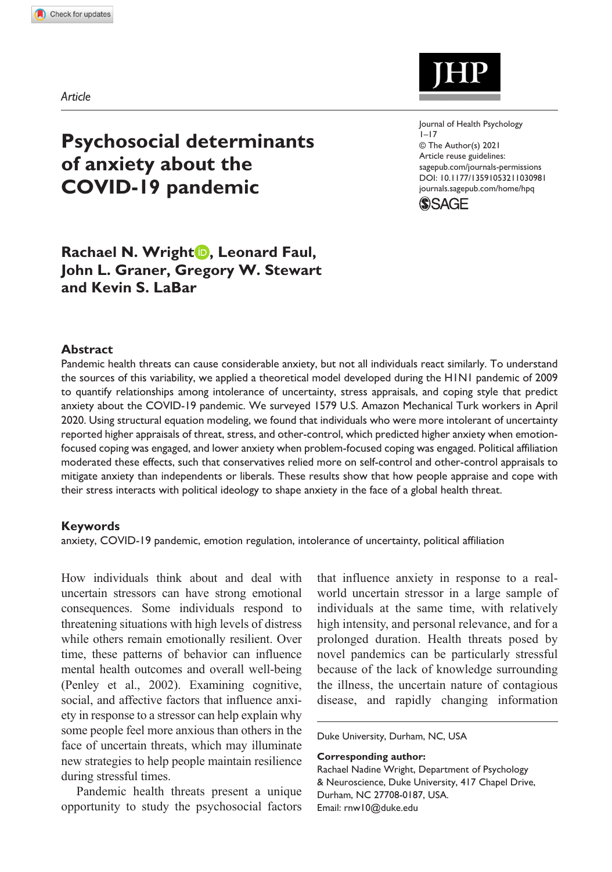*Article*

# **Psychosocial determinants of anxiety about the COVID-19 pandemic**

# **Rachael N. Wright , Leonard Faul, John L. Graner, Gregory W. Stewart and Kevin S. LaBar**

#### **Abstract**

Pandemic health threats can cause considerable anxiety, but not all individuals react similarly. To understand the sources of this variability, we applied a theoretical model developed during the H1N1 pandemic of 2009 to quantify relationships among intolerance of uncertainty, stress appraisals, and coping style that predict anxiety about the COVID-19 pandemic. We surveyed 1579 U.S. Amazon Mechanical Turk workers in April 2020. Using structural equation modeling, we found that individuals who were more intolerant of uncertainty reported higher appraisals of threat, stress, and other-control, which predicted higher anxiety when emotionfocused coping was engaged, and lower anxiety when problem-focused coping was engaged. Political affiliation moderated these effects, such that conservatives relied more on self-control and other-control appraisals to mitigate anxiety than independents or liberals. These results show that how people appraise and cope with their stress interacts with political ideology to shape anxiety in the face of a global health threat.

#### **Keywords**

anxiety, COVID-19 pandemic, emotion regulation, intolerance of uncertainty, political affiliation

How individuals think about and deal with uncertain stressors can have strong emotional consequences. Some individuals respond to threatening situations with high levels of distress while others remain emotionally resilient. Over time, these patterns of behavior can influence mental health outcomes and overall well-being (Penley et al., 2002). Examining cognitive, social, and affective factors that influence anxiety in response to a stressor can help explain why some people feel more anxious than others in the face of uncertain threats, which may illuminate new strategies to help people maintain resilience during stressful times.

Pandemic health threats present a unique opportunity to study the psychosocial factors

that influence anxiety in response to a realworld uncertain stressor in a large sample of individuals at the same time, with relatively high intensity, and personal relevance, and for a prolonged duration. Health threats posed by novel pandemics can be particularly stressful because of the lack of knowledge surrounding the illness, the uncertain nature of contagious disease, and rapidly changing information

Duke University, Durham, NC, USA

#### **Corresponding author:**

Rachael Nadine Wright, Department of Psychology & Neuroscience, Duke University, 417 Chapel Drive, Durham, NC 27708-0187, USA. Email: [rnw10@duke.edu](mailto:rnw10@duke.edu)



https://doi.org/10.1177/13591053211030981 DOI: 10.1177/13591053211030981 Journal of Health Psychology  $1 - 17$ © The Author(s) 2021 Article reuse guidelines: [sagepub.com/journals-permissions](https://uk.sagepub.com/en-gb/journals-permissions) [journals.sagepub.com/home/hpq](https://journals.sagepub.com/home/hpq)

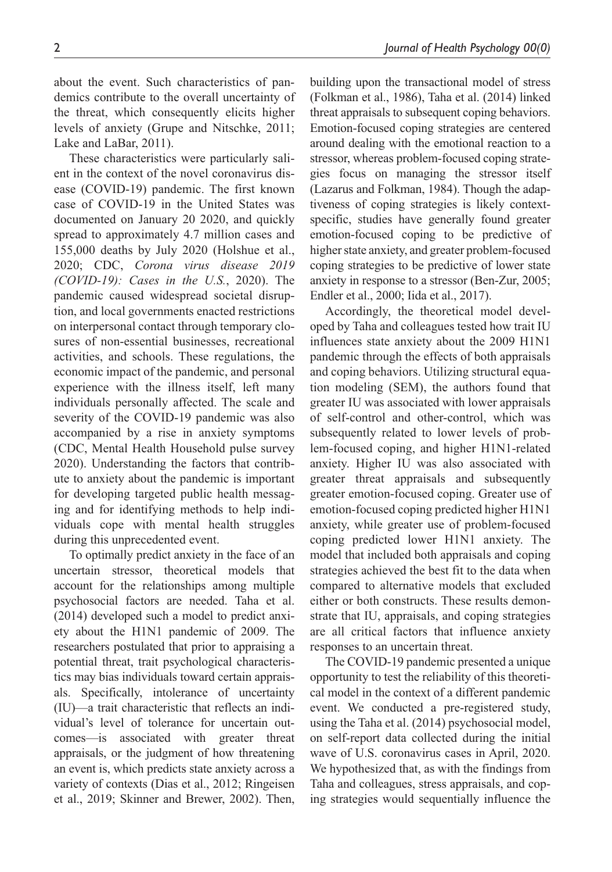about the event. Such characteristics of pandemics contribute to the overall uncertainty of the threat, which consequently elicits higher levels of anxiety (Grupe and Nitschke, 2011; Lake and LaBar, 2011).

These characteristics were particularly salient in the context of the novel coronavirus disease (COVID-19) pandemic. The first known case of COVID-19 in the United States was documented on January 20 2020, and quickly spread to approximately 4.7 million cases and 155,000 deaths by July 2020 (Holshue et al., 2020; CDC, *Corona virus disease 2019 (COVID-19): Cases in the U.S.*, 2020). The pandemic caused widespread societal disruption, and local governments enacted restrictions on interpersonal contact through temporary closures of non-essential businesses, recreational activities, and schools. These regulations, the economic impact of the pandemic, and personal experience with the illness itself, left many individuals personally affected. The scale and severity of the COVID-19 pandemic was also accompanied by a rise in anxiety symptoms (CDC, Mental Health Household pulse survey 2020). Understanding the factors that contribute to anxiety about the pandemic is important for developing targeted public health messaging and for identifying methods to help individuals cope with mental health struggles during this unprecedented event.

To optimally predict anxiety in the face of an uncertain stressor, theoretical models that account for the relationships among multiple psychosocial factors are needed. Taha et al. (2014) developed such a model to predict anxiety about the H1N1 pandemic of 2009. The researchers postulated that prior to appraising a potential threat, trait psychological characteristics may bias individuals toward certain appraisals. Specifically, intolerance of uncertainty (IU)—a trait characteristic that reflects an individual's level of tolerance for uncertain outcomes—is associated with greater threat appraisals, or the judgment of how threatening an event is, which predicts state anxiety across a variety of contexts (Dias et al., 2012; Ringeisen et al., 2019; Skinner and Brewer, 2002). Then,

building upon the transactional model of stress (Folkman et al., 1986), Taha et al. (2014) linked threat appraisals to subsequent coping behaviors. Emotion-focused coping strategies are centered around dealing with the emotional reaction to a stressor, whereas problem-focused coping strategies focus on managing the stressor itself (Lazarus and Folkman, 1984). Though the adaptiveness of coping strategies is likely contextspecific, studies have generally found greater emotion-focused coping to be predictive of higher state anxiety, and greater problem-focused coping strategies to be predictive of lower state anxiety in response to a stressor (Ben-Zur, 2005; Endler et al., 2000; Iida et al., 2017).

Accordingly, the theoretical model developed by Taha and colleagues tested how trait IU influences state anxiety about the 2009 H1N1 pandemic through the effects of both appraisals and coping behaviors. Utilizing structural equation modeling (SEM), the authors found that greater IU was associated with lower appraisals of self-control and other-control, which was subsequently related to lower levels of problem-focused coping, and higher H1N1-related anxiety. Higher IU was also associated with greater threat appraisals and subsequently greater emotion-focused coping. Greater use of emotion-focused coping predicted higher H1N1 anxiety, while greater use of problem-focused coping predicted lower H1N1 anxiety. The model that included both appraisals and coping strategies achieved the best fit to the data when compared to alternative models that excluded either or both constructs. These results demonstrate that IU, appraisals, and coping strategies are all critical factors that influence anxiety responses to an uncertain threat.

The COVID-19 pandemic presented a unique opportunity to test the reliability of this theoretical model in the context of a different pandemic event. We conducted a pre-registered study, using the Taha et al. (2014) psychosocial model, on self-report data collected during the initial wave of U.S. coronavirus cases in April, 2020. We hypothesized that, as with the findings from Taha and colleagues, stress appraisals, and coping strategies would sequentially influence the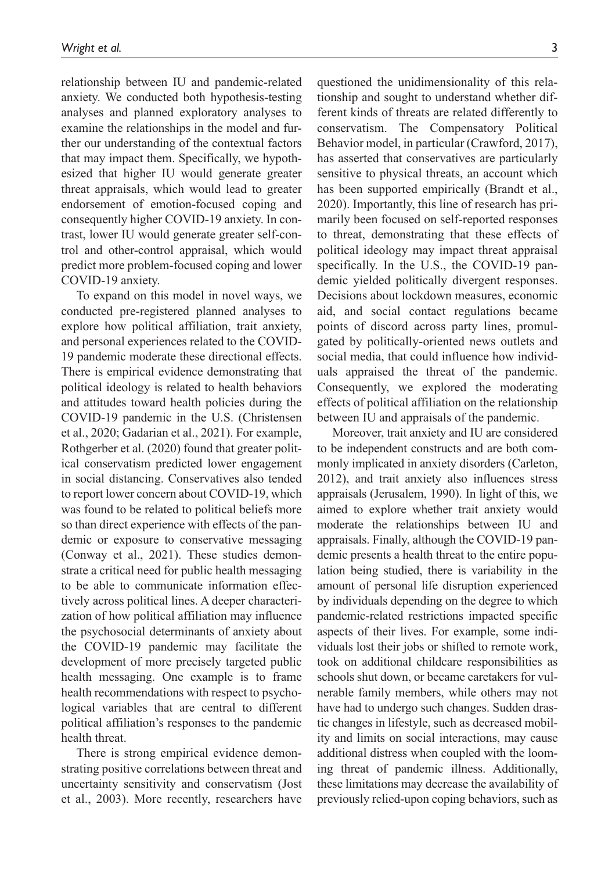relationship between IU and pandemic-related anxiety. We conducted both hypothesis-testing analyses and planned exploratory analyses to examine the relationships in the model and further our understanding of the contextual factors that may impact them. Specifically, we hypothesized that higher IU would generate greater threat appraisals, which would lead to greater endorsement of emotion-focused coping and consequently higher COVID-19 anxiety. In contrast, lower IU would generate greater self-control and other-control appraisal, which would predict more problem-focused coping and lower COVID-19 anxiety.

To expand on this model in novel ways, we conducted pre-registered planned analyses to explore how political affiliation, trait anxiety, and personal experiences related to the COVID-19 pandemic moderate these directional effects. There is empirical evidence demonstrating that political ideology is related to health behaviors and attitudes toward health policies during the COVID-19 pandemic in the U.S. (Christensen et al., 2020; Gadarian et al., 2021). For example, Rothgerber et al. (2020) found that greater political conservatism predicted lower engagement in social distancing. Conservatives also tended to report lower concern about COVID-19, which was found to be related to political beliefs more so than direct experience with effects of the pandemic or exposure to conservative messaging (Conway et al., 2021). These studies demonstrate a critical need for public health messaging to be able to communicate information effectively across political lines. A deeper characterization of how political affiliation may influence the psychosocial determinants of anxiety about the COVID-19 pandemic may facilitate the development of more precisely targeted public health messaging. One example is to frame health recommendations with respect to psychological variables that are central to different political affiliation's responses to the pandemic health threat.

There is strong empirical evidence demonstrating positive correlations between threat and uncertainty sensitivity and conservatism (Jost et al., 2003). More recently, researchers have questioned the unidimensionality of this relationship and sought to understand whether different kinds of threats are related differently to conservatism. The Compensatory Political Behavior model, in particular (Crawford, 2017), has asserted that conservatives are particularly sensitive to physical threats, an account which has been supported empirically (Brandt et al., 2020). Importantly, this line of research has primarily been focused on self-reported responses to threat, demonstrating that these effects of political ideology may impact threat appraisal specifically. In the U.S., the COVID-19 pandemic yielded politically divergent responses. Decisions about lockdown measures, economic aid, and social contact regulations became points of discord across party lines, promulgated by politically-oriented news outlets and social media, that could influence how individuals appraised the threat of the pandemic. Consequently, we explored the moderating effects of political affiliation on the relationship between IU and appraisals of the pandemic.

Moreover, trait anxiety and IU are considered to be independent constructs and are both commonly implicated in anxiety disorders (Carleton, 2012), and trait anxiety also influences stress appraisals (Jerusalem, 1990). In light of this, we aimed to explore whether trait anxiety would moderate the relationships between IU and appraisals. Finally, although the COVID-19 pandemic presents a health threat to the entire population being studied, there is variability in the amount of personal life disruption experienced by individuals depending on the degree to which pandemic-related restrictions impacted specific aspects of their lives. For example, some individuals lost their jobs or shifted to remote work, took on additional childcare responsibilities as schools shut down, or became caretakers for vulnerable family members, while others may not have had to undergo such changes. Sudden drastic changes in lifestyle, such as decreased mobility and limits on social interactions, may cause additional distress when coupled with the looming threat of pandemic illness. Additionally, these limitations may decrease the availability of previously relied-upon coping behaviors, such as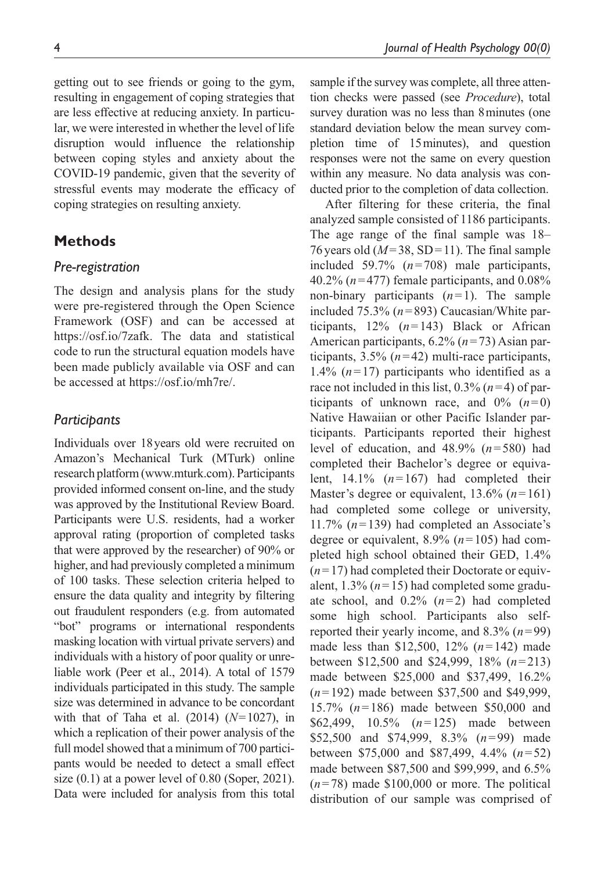getting out to see friends or going to the gym, resulting in engagement of coping strategies that are less effective at reducing anxiety. In particular, we were interested in whether the level of life disruption would influence the relationship between coping styles and anxiety about the COVID-19 pandemic, given that the severity of stressful events may moderate the efficacy of coping strategies on resulting anxiety.

# **Methods**

## *Pre-registration*

The design and analysis plans for the study were pre-registered through the Open Science Framework (OSF) and can be accessed at [https://osf.io/7zafk.](https://osf.io/7zafk) The data and statistical code to run the structural equation models have been made publicly available via OSF and can be accessed at <https://osf.io/mh7re/>.

## *Participants*

Individuals over 18years old were recruited on Amazon's Mechanical Turk (MTurk) online research platform [\(www.mturk.com](www.mturk.com)). Participants provided informed consent on-line, and the study was approved by the Institutional Review Board. Participants were U.S. residents, had a worker approval rating (proportion of completed tasks that were approved by the researcher) of 90% or higher, and had previously completed a minimum of 100 tasks. These selection criteria helped to ensure the data quality and integrity by filtering out fraudulent responders (e.g. from automated "bot" programs or international respondents masking location with virtual private servers) and individuals with a history of poor quality or unreliable work (Peer et al., 2014). A total of 1579 individuals participated in this study. The sample size was determined in advance to be concordant with that of Taha et al. (2014) (*N*=1027), in which a replication of their power analysis of the full model showed that a minimum of 700 participants would be needed to detect a small effect size  $(0.1)$  at a power level of 0.80 (Soper, 2021). Data were included for analysis from this total sample if the survey was complete, all three attention checks were passed (see *Procedure*), total survey duration was no less than 8minutes (one standard deviation below the mean survey completion time of 15minutes), and question responses were not the same on every question within any measure. No data analysis was conducted prior to the completion of data collection.

After filtering for these criteria, the final analyzed sample consisted of 1186 participants. The age range of the final sample was 18– 76 years old  $(M=38, SD=11)$ . The final sample included 59.7% (*n*=708) male participants, 40.2% (*n*=477) female participants, and 0.08% non-binary participants  $(n=1)$ . The sample included 75.3% (*n*=893) Caucasian/White participants, 12% (*n*=143) Black or African American participants, 6.2% (*n*=73) Asian participants, 3.5% (*n*=42) multi-race participants, 1.4%  $(n=17)$  participants who identified as a race not included in this list,  $0.3\%$  ( $n=4$ ) of participants of unknown race, and  $0\%$   $(n=0)$ Native Hawaiian or other Pacific Islander participants. Participants reported their highest level of education, and 48.9% (*n*=580) had completed their Bachelor's degree or equivalent, 14.1% (*n*=167) had completed their Master's degree or equivalent, 13.6% (*n*=161) had completed some college or university, 11.7% (*n*=139) had completed an Associate's degree or equivalent, 8.9% (*n*=105) had completed high school obtained their GED, 1.4%  $(n=17)$  had completed their Doctorate or equivalent, 1.3% (*n*=15) had completed some graduate school, and 0.2% (*n*=2) had completed some high school. Participants also selfreported their yearly income, and 8.3% (*n*=99) made less than \$12,500, 12% (*n*=142) made between \$12,500 and \$24,999, 18% (*n*=213) made between \$25,000 and \$37,499, 16.2% (*n*=192) made between \$37,500 and \$49,999, 15.7% (*n*=186) made between \$50,000 and \$62,499, 10.5% (*n*=125) made between \$52,500 and \$74,999, 8.3% (*n*=99) made between \$75,000 and \$87,499, 4.4% (*n*=52) made between \$87,500 and \$99,999, and 6.5%  $(n=78)$  made \$100,000 or more. The political distribution of our sample was comprised of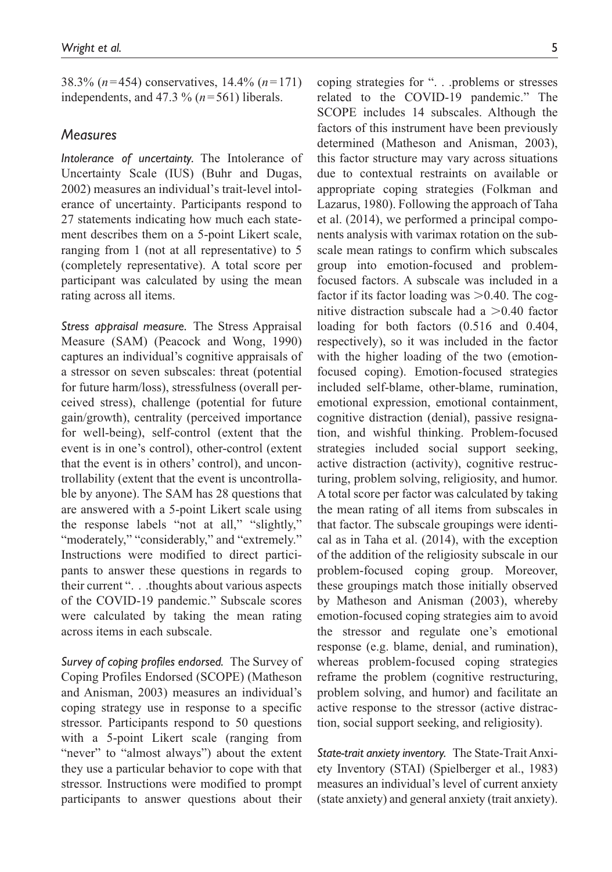38.3% (*n*=454) conservatives, 14.4% (*n*=171) independents, and 47.3 % (*n*=561) liberals.

## *Measures*

*Intolerance of uncertainty.* The Intolerance of Uncertainty Scale (IUS) (Buhr and Dugas, 2002) measures an individual's trait-level intolerance of uncertainty. Participants respond to 27 statements indicating how much each statement describes them on a 5-point Likert scale, ranging from 1 (not at all representative) to 5 (completely representative). A total score per participant was calculated by using the mean rating across all items.

*Stress appraisal measure.* The Stress Appraisal Measure (SAM) (Peacock and Wong, 1990) captures an individual's cognitive appraisals of a stressor on seven subscales: threat (potential for future harm/loss), stressfulness (overall perceived stress), challenge (potential for future gain/growth), centrality (perceived importance for well-being), self-control (extent that the event is in one's control), other-control (extent that the event is in others' control), and uncontrollability (extent that the event is uncontrollable by anyone). The SAM has 28 questions that are answered with a 5-point Likert scale using the response labels "not at all," "slightly," "moderately," "considerably," and "extremely." Instructions were modified to direct participants to answer these questions in regards to their current ". . .thoughts about various aspects of the COVID-19 pandemic." Subscale scores were calculated by taking the mean rating across items in each subscale.

*Survey of coping profiles endorsed.* The Survey of Coping Profiles Endorsed (SCOPE) (Matheson and Anisman, 2003) measures an individual's coping strategy use in response to a specific stressor. Participants respond to 50 questions with a 5-point Likert scale (ranging from "never" to "almost always") about the extent they use a particular behavior to cope with that stressor. Instructions were modified to prompt participants to answer questions about their

coping strategies for ". . .problems or stresses related to the COVID-19 pandemic." The SCOPE includes 14 subscales. Although the factors of this instrument have been previously determined (Matheson and Anisman, 2003), this factor structure may vary across situations due to contextual restraints on available or appropriate coping strategies (Folkman and Lazarus, 1980). Following the approach of Taha et al. (2014), we performed a principal components analysis with varimax rotation on the subscale mean ratings to confirm which subscales group into emotion-focused and problemfocused factors. A subscale was included in a factor if its factor loading was  $> 0.40$ . The cognitive distraction subscale had a  $>0.40$  factor loading for both factors (0.516 and 0.404, respectively), so it was included in the factor with the higher loading of the two (emotionfocused coping). Emotion-focused strategies included self-blame, other-blame, rumination, emotional expression, emotional containment, cognitive distraction (denial), passive resignation, and wishful thinking. Problem-focused strategies included social support seeking, active distraction (activity), cognitive restructuring, problem solving, religiosity, and humor. A total score per factor was calculated by taking the mean rating of all items from subscales in that factor. The subscale groupings were identical as in Taha et al. (2014), with the exception of the addition of the religiosity subscale in our problem-focused coping group. Moreover, these groupings match those initially observed by Matheson and Anisman (2003), whereby emotion-focused coping strategies aim to avoid the stressor and regulate one's emotional response (e.g. blame, denial, and rumination), whereas problem-focused coping strategies reframe the problem (cognitive restructuring, problem solving, and humor) and facilitate an active response to the stressor (active distraction, social support seeking, and religiosity).

*State-trait anxiety inventory.* The State-Trait Anxiety Inventory (STAI) (Spielberger et al., 1983) measures an individual's level of current anxiety (state anxiety) and general anxiety (trait anxiety).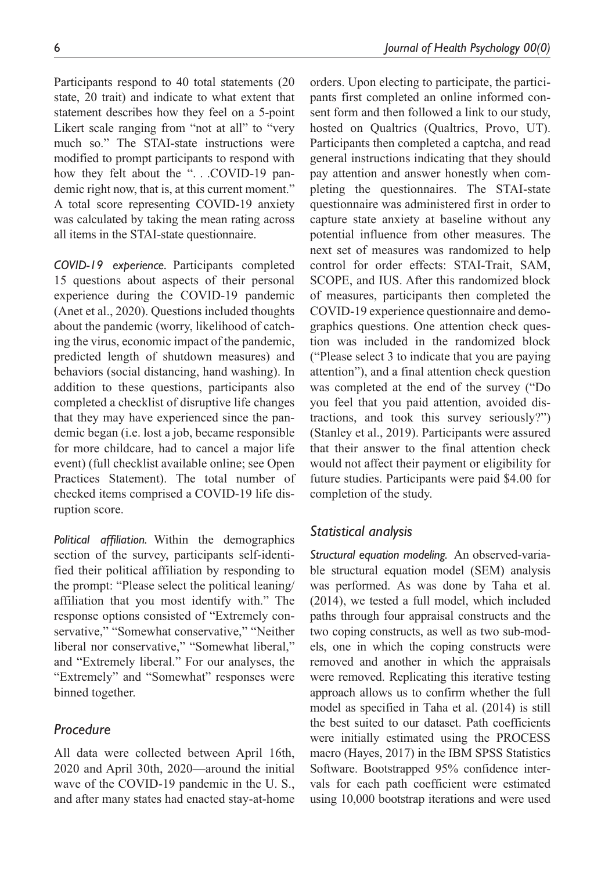Participants respond to 40 total statements (20 state, 20 trait) and indicate to what extent that statement describes how they feel on a 5-point Likert scale ranging from "not at all" to "very much so." The STAI-state instructions were modified to prompt participants to respond with how they felt about the "...COVID-19 pandemic right now, that is, at this current moment." A total score representing COVID-19 anxiety was calculated by taking the mean rating across all items in the STAI-state questionnaire.

*COVID-19 experience.* Participants completed 15 questions about aspects of their personal experience during the COVID-19 pandemic (Anet et al., 2020). Questions included thoughts about the pandemic (worry, likelihood of catching the virus, economic impact of the pandemic, predicted length of shutdown measures) and behaviors (social distancing, hand washing). In addition to these questions, participants also completed a checklist of disruptive life changes that they may have experienced since the pandemic began (i.e. lost a job, became responsible for more childcare, had to cancel a major life event) (full checklist available online; see Open Practices Statement). The total number of checked items comprised a COVID-19 life disruption score.

*Political affiliation.* Within the demographics section of the survey, participants self-identified their political affiliation by responding to the prompt: "Please select the political leaning/ affiliation that you most identify with." The response options consisted of "Extremely conservative," "Somewhat conservative," "Neither liberal nor conservative," "Somewhat liberal," and "Extremely liberal." For our analyses, the "Extremely" and "Somewhat" responses were binned together.

## *Procedure*

All data were collected between April 16th, 2020 and April 30th, 2020—around the initial wave of the COVID-19 pandemic in the U. S., and after many states had enacted stay-at-home

orders. Upon electing to participate, the participants first completed an online informed consent form and then followed a link to our study, hosted on Qualtrics (Qualtrics, Provo, UT). Participants then completed a captcha, and read general instructions indicating that they should pay attention and answer honestly when completing the questionnaires. The STAI-state questionnaire was administered first in order to capture state anxiety at baseline without any potential influence from other measures. The next set of measures was randomized to help control for order effects: STAI-Trait, SAM, SCOPE, and IUS. After this randomized block of measures, participants then completed the COVID-19 experience questionnaire and demographics questions. One attention check question was included in the randomized block ("Please select 3 to indicate that you are paying attention"), and a final attention check question was completed at the end of the survey ("Do you feel that you paid attention, avoided distractions, and took this survey seriously?") (Stanley et al., 2019). Participants were assured that their answer to the final attention check would not affect their payment or eligibility for future studies. Participants were paid \$4.00 for completion of the study.

## *Statistical analysis*

*Structural equation modeling.* An observed-variable structural equation model (SEM) analysis was performed. As was done by Taha et al. (2014), we tested a full model, which included paths through four appraisal constructs and the two coping constructs, as well as two sub-models, one in which the coping constructs were removed and another in which the appraisals were removed. Replicating this iterative testing approach allows us to confirm whether the full model as specified in Taha et al. (2014) is still the best suited to our dataset. Path coefficients were initially estimated using the PROCESS macro (Hayes, 2017) in the IBM SPSS Statistics Software. Bootstrapped 95% confidence intervals for each path coefficient were estimated using 10,000 bootstrap iterations and were used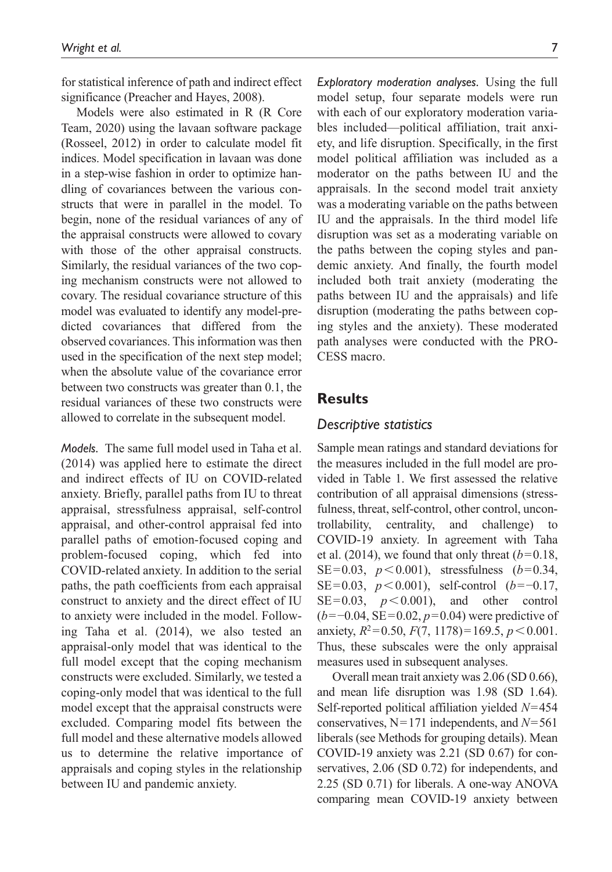for statistical inference of path and indirect effect significance (Preacher and Hayes, 2008).

Models were also estimated in R (R Core Team, 2020) using the lavaan software package (Rosseel, 2012) in order to calculate model fit indices. Model specification in lavaan was done in a step-wise fashion in order to optimize handling of covariances between the various constructs that were in parallel in the model. To begin, none of the residual variances of any of the appraisal constructs were allowed to covary with those of the other appraisal constructs. Similarly, the residual variances of the two coping mechanism constructs were not allowed to covary. The residual covariance structure of this model was evaluated to identify any model-predicted covariances that differed from the observed covariances. This information was then used in the specification of the next step model; when the absolute value of the covariance error between two constructs was greater than 0.1, the residual variances of these two constructs were allowed to correlate in the subsequent model.

*Models.* The same full model used in Taha et al. (2014) was applied here to estimate the direct and indirect effects of IU on COVID-related anxiety. Briefly, parallel paths from IU to threat appraisal, stressfulness appraisal, self-control appraisal, and other-control appraisal fed into parallel paths of emotion-focused coping and problem-focused coping, which fed into COVID-related anxiety. In addition to the serial paths, the path coefficients from each appraisal construct to anxiety and the direct effect of IU to anxiety were included in the model. Following Taha et al. (2014), we also tested an appraisal-only model that was identical to the full model except that the coping mechanism constructs were excluded. Similarly, we tested a coping-only model that was identical to the full model except that the appraisal constructs were excluded. Comparing model fits between the full model and these alternative models allowed us to determine the relative importance of appraisals and coping styles in the relationship between IU and pandemic anxiety.

*Exploratory moderation analyses.* Using the full model setup, four separate models were run with each of our exploratory moderation variables included—political affiliation, trait anxiety, and life disruption. Specifically, in the first model political affiliation was included as a moderator on the paths between IU and the appraisals. In the second model trait anxiety was a moderating variable on the paths between IU and the appraisals. In the third model life disruption was set as a moderating variable on the paths between the coping styles and pandemic anxiety. And finally, the fourth model included both trait anxiety (moderating the paths between IU and the appraisals) and life disruption (moderating the paths between coping styles and the anxiety). These moderated path analyses were conducted with the PRO-CESS macro.

## **Results**

## *Descriptive statistics*

Sample mean ratings and standard deviations for the measures included in the full model are provided in Table 1. We first assessed the relative contribution of all appraisal dimensions (stressfulness, threat, self-control, other control, uncontrollability, centrality, and challenge) COVID-19 anxiety. In agreement with Taha et al. (2014), we found that only threat  $(b=0.18,$ SE=0.03,  $p < 0.001$ ), stressfulness (*b*=0.34, SE=0.03, *p*<0.001), self-control (*b*=−0.17,  $SE=0.03$ ,  $p < 0.001$ ), and other control (*b*=−0.04, SE=0.02, *p*=0.04) were predictive of anxiety,  $R^2=0.50$ ,  $F(7, 1178)=169.5$ ,  $p < 0.001$ . Thus, these subscales were the only appraisal measures used in subsequent analyses.

Overall mean trait anxiety was 2.06 (SD 0.66), and mean life disruption was 1.98 (SD 1.64). Self-reported political affiliation yielded *N*=454 conservatives, N=171 independents, and *N*=561 liberals (see Methods for grouping details). Mean COVID-19 anxiety was 2.21 (SD 0.67) for conservatives, 2.06 (SD 0.72) for independents, and 2.25 (SD 0.71) for liberals. A one-way ANOVA comparing mean COVID-19 anxiety between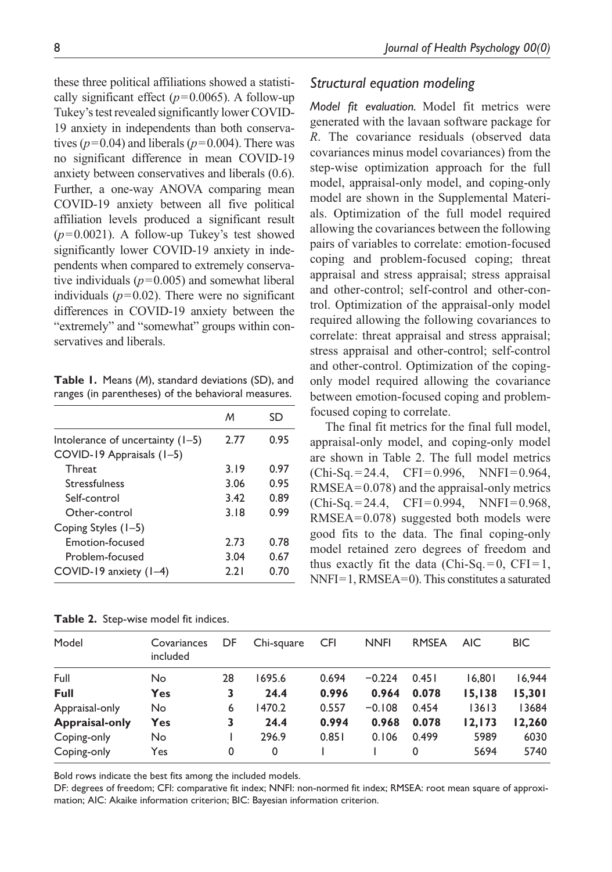these three political affiliations showed a statistically significant effect  $(p=0.0065)$ . A follow-up Tukey's test revealed significantly lower COVID-19 anxiety in independents than both conservatives  $(p=0.04)$  and liberals  $(p=0.004)$ . There was no significant difference in mean COVID-19 anxiety between conservatives and liberals (0.6). Further, a one-way ANOVA comparing mean COVID-19 anxiety between all five political affiliation levels produced a significant result (*p*=0.0021). A follow-up Tukey's test showed significantly lower COVID-19 anxiety in independents when compared to extremely conservative individuals  $(p=0.005)$  and somewhat liberal individuals  $(p=0.02)$ . There were no significant differences in COVID-19 anxiety between the "extremely" and "somewhat" groups within conservatives and liberals.

**Table 1.** Means (*M*), standard deviations (SD), and ranges (in parentheses) of the behavioral measures.

|                                    | M    | SD   |
|------------------------------------|------|------|
| Intolerance of uncertainty $(1-5)$ | 2.77 | 0.95 |
| COVID-19 Appraisals (1-5)          |      |      |
| Threat                             | 3.19 | 0.97 |
| Stressfulness                      | 3.06 | 0.95 |
| Self-control                       | 3.42 | 0.89 |
| Other-control                      | 3.18 | 0.99 |
| Coping Styles (1–5)                |      |      |
| Emotion-focused                    | 2.73 | 0.78 |
| Problem-focused                    | 3.04 | 0.67 |
| COVID-19 anxiety (1-4)             | 2.21 | 0.70 |

**Table 2.** Step-wise model fit indices.

## *Structural equation modeling*

*Model fit evaluation.* Model fit metrics were generated with the lavaan software package for *R*. The covariance residuals (observed data covariances minus model covariances) from the step-wise optimization approach for the full model, appraisal-only model, and coping-only model are shown in the Supplemental Materials. Optimization of the full model required allowing the covariances between the following pairs of variables to correlate: emotion-focused coping and problem-focused coping; threat appraisal and stress appraisal; stress appraisal and other-control; self-control and other-control. Optimization of the appraisal-only model required allowing the following covariances to correlate: threat appraisal and stress appraisal; stress appraisal and other-control; self-control and other-control. Optimization of the copingonly model required allowing the covariance between emotion-focused coping and problemfocused coping to correlate.

The final fit metrics for the final full model, appraisal-only model, and coping-only model are shown in Table 2. The full model metrics  $(Chi-Sq.=24.4, CFI=0.996, NNFI=0.964,$ RMSEA=0.078) and the appraisal-only metrics  $(Chi-Sq.=24.4, CFI=0.994, NNFI=0.968,$ RMSEA=0.078) suggested both models were good fits to the data. The final coping-only model retained zero degrees of freedom and thus exactly fit the data (Chi-Sq.  $= 0$ , CFI $= 1$ , NNFI=1, RMSEA=0). This constitutes a saturated

| Model                 | Covariances<br>included | DF | Chi-square | <b>CFI</b> | <b>NNFI</b> | <b>RMSEA</b> | <b>AIC</b> | <b>BIC</b> |
|-----------------------|-------------------------|----|------------|------------|-------------|--------------|------------|------------|
|                       |                         |    |            |            |             |              |            |            |
| Full                  | No.                     | 28 | 1695.6     | 0.694      | $-0.224$    | 0.451        | 16.801     | 16,944     |
| Full                  | Yes                     | 3  | 24.4       | 0.996      | 0.964       | 0.078        | 15,138     | 15,301     |
| Appraisal-only        | No.                     | 6  | 1470.2     | 0.557      | $-0.108$    | 0.454        | 13613      | 13684      |
| <b>Appraisal-only</b> | <b>Yes</b>              | 3  | 24.4       | 0.994      | 0.968       | 0.078        | 12.173     | 12,260     |
| Coping-only           | No.                     |    | 296.9      | 0.851      | 0.106       | 0.499        | 5989       | 6030       |
| Coping-only           | Yes                     | 0  | 0          |            |             | 0            | 5694       | 5740       |

Bold rows indicate the best fits among the included models.

DF: degrees of freedom; CFI: comparative fit index; NNFI: non-normed fit index; RMSEA: root mean square of approximation; AIC: Akaike information criterion; BIC: Bayesian information criterion.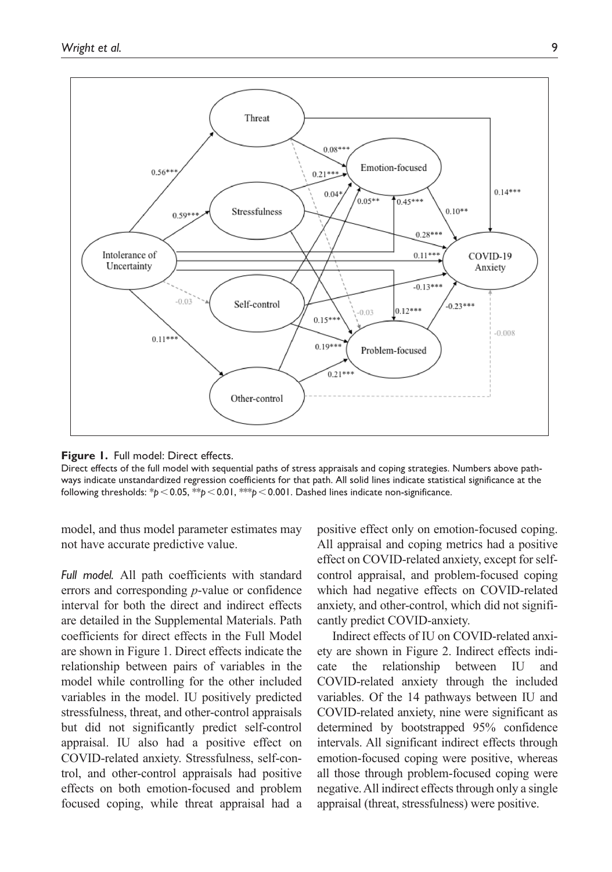

**Figure 1.** Full model: Direct effects.

Direct effects of the full model with sequential paths of stress appraisals and coping strategies. Numbers above pathways indicate unstandardized regression coefficients for that path. All solid lines indicate statistical significance at the following thresholds: \**p*<0.05, \*\**p*<0.01, \*\*\**p*<0.001. Dashed lines indicate non-significance.

model, and thus model parameter estimates may not have accurate predictive value.

*Full model.* All path coefficients with standard errors and corresponding *p*-value or confidence interval for both the direct and indirect effects are detailed in the Supplemental Materials. Path coefficients for direct effects in the Full Model are shown in Figure 1. Direct effects indicate the relationship between pairs of variables in the model while controlling for the other included variables in the model. IU positively predicted stressfulness, threat, and other-control appraisals but did not significantly predict self-control appraisal. IU also had a positive effect on COVID-related anxiety. Stressfulness, self-control, and other-control appraisals had positive effects on both emotion-focused and problem focused coping, while threat appraisal had a

positive effect only on emotion-focused coping. All appraisal and coping metrics had a positive effect on COVID-related anxiety, except for selfcontrol appraisal, and problem-focused coping which had negative effects on COVID-related anxiety, and other-control, which did not significantly predict COVID-anxiety.

Indirect effects of IU on COVID-related anxiety are shown in Figure 2. Indirect effects indicate the relationship between IU and COVID-related anxiety through the included variables. Of the 14 pathways between IU and COVID-related anxiety, nine were significant as determined by bootstrapped 95% confidence intervals. All significant indirect effects through emotion-focused coping were positive, whereas all those through problem-focused coping were negative. All indirect effects through only a single appraisal (threat, stressfulness) were positive.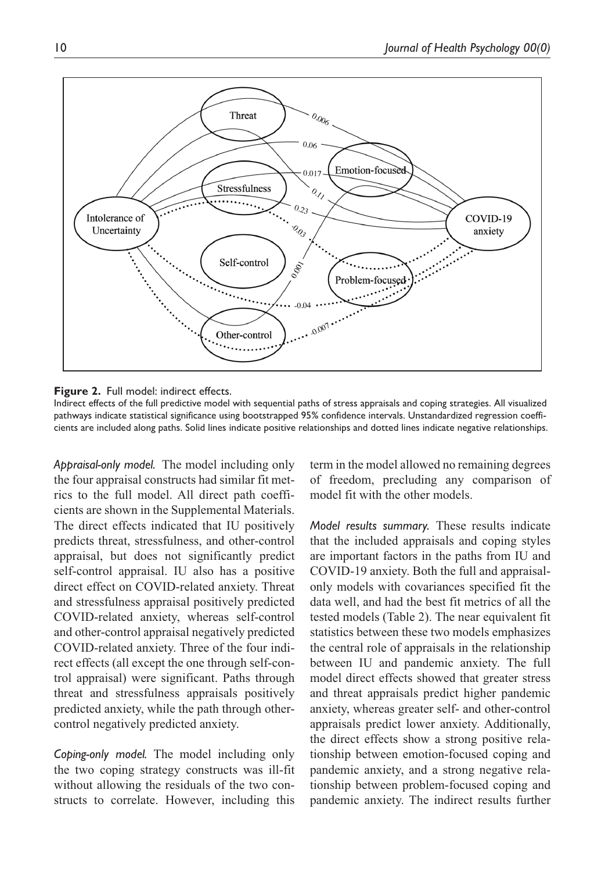

**Figure 2.** Full model: indirect effects.

Indirect effects of the full predictive model with sequential paths of stress appraisals and coping strategies. All visualized pathways indicate statistical significance using bootstrapped 95% confidence intervals. Unstandardized regression coefficients are included along paths. Solid lines indicate positive relationships and dotted lines indicate negative relationships.

*Appraisal-only model.* The model including only the four appraisal constructs had similar fit metrics to the full model. All direct path coefficients are shown in the Supplemental Materials. The direct effects indicated that IU positively predicts threat, stressfulness, and other-control appraisal, but does not significantly predict self-control appraisal. IU also has a positive direct effect on COVID-related anxiety. Threat and stressfulness appraisal positively predicted COVID-related anxiety, whereas self-control and other-control appraisal negatively predicted COVID-related anxiety. Three of the four indirect effects (all except the one through self-control appraisal) were significant. Paths through threat and stressfulness appraisals positively predicted anxiety, while the path through othercontrol negatively predicted anxiety.

*Coping-only model.* The model including only the two coping strategy constructs was ill-fit without allowing the residuals of the two constructs to correlate. However, including this term in the model allowed no remaining degrees of freedom, precluding any comparison of model fit with the other models.

*Model results summary.* These results indicate that the included appraisals and coping styles are important factors in the paths from IU and COVID-19 anxiety. Both the full and appraisalonly models with covariances specified fit the data well, and had the best fit metrics of all the tested models (Table 2). The near equivalent fit statistics between these two models emphasizes the central role of appraisals in the relationship between IU and pandemic anxiety. The full model direct effects showed that greater stress and threat appraisals predict higher pandemic anxiety, whereas greater self- and other-control appraisals predict lower anxiety. Additionally, the direct effects show a strong positive relationship between emotion-focused coping and pandemic anxiety, and a strong negative relationship between problem-focused coping and pandemic anxiety. The indirect results further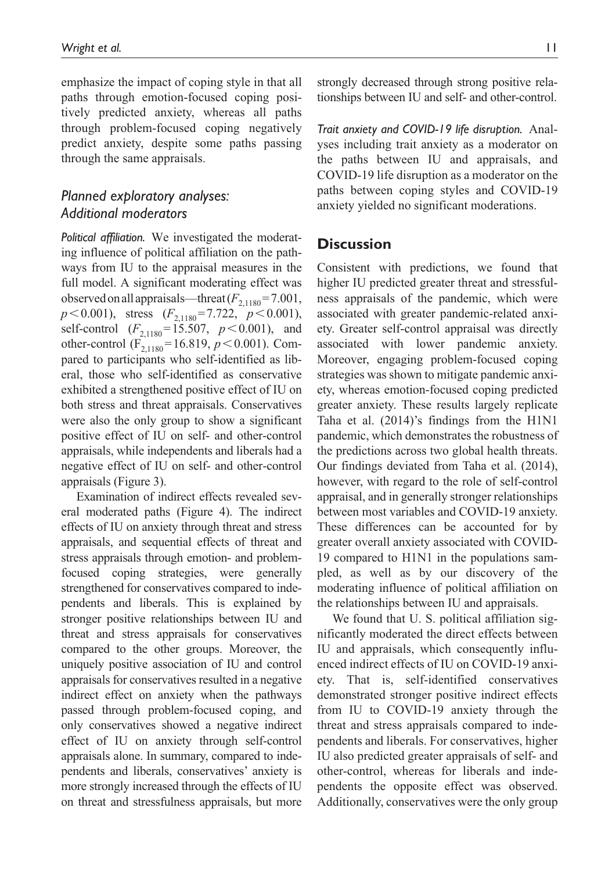emphasize the impact of coping style in that all paths through emotion-focused coping positively predicted anxiety, whereas all paths through problem-focused coping negatively predict anxiety, despite some paths passing through the same appraisals.

# *Planned exploratory analyses: Additional moderators*

*Political affiliation.* We investigated the moderating influence of political affiliation on the pathways from IU to the appraisal measures in the full model. A significant moderating effect was observed on all appraisals—threat  $(F_{2,1180} = 7.001,$  $p < 0.001$ ), stress  $(F_{2,1180} = 7.722, p < 0.001)$ , self-control  $(F_{2,1180} = 15.507, p < 0.001)$ , and other-control  $(F_{2,1180} = 16.819, p < 0.001)$ . Compared to participants who self-identified as liberal, those who self-identified as conservative exhibited a strengthened positive effect of IU on both stress and threat appraisals. Conservatives were also the only group to show a significant positive effect of IU on self- and other-control appraisals, while independents and liberals had a negative effect of IU on self- and other-control appraisals (Figure 3).

Examination of indirect effects revealed several moderated paths (Figure 4). The indirect effects of IU on anxiety through threat and stress appraisals, and sequential effects of threat and stress appraisals through emotion- and problemfocused coping strategies, were generally strengthened for conservatives compared to independents and liberals. This is explained by stronger positive relationships between IU and threat and stress appraisals for conservatives compared to the other groups. Moreover, the uniquely positive association of IU and control appraisals for conservatives resulted in a negative indirect effect on anxiety when the pathways passed through problem-focused coping, and only conservatives showed a negative indirect effect of IU on anxiety through self-control appraisals alone. In summary, compared to independents and liberals, conservatives' anxiety is more strongly increased through the effects of IU on threat and stressfulness appraisals, but more

strongly decreased through strong positive relationships between IU and self- and other-control.

*Trait anxiety and COVID-19 life disruption.* Analyses including trait anxiety as a moderator on the paths between IU and appraisals, and COVID-19 life disruption as a moderator on the paths between coping styles and COVID-19 anxiety yielded no significant moderations.

## **Discussion**

Consistent with predictions, we found that higher IU predicted greater threat and stressfulness appraisals of the pandemic, which were associated with greater pandemic-related anxiety. Greater self-control appraisal was directly associated with lower pandemic anxiety. Moreover, engaging problem-focused coping strategies was shown to mitigate pandemic anxiety, whereas emotion-focused coping predicted greater anxiety. These results largely replicate Taha et al. (2014)'s findings from the H1N1 pandemic, which demonstrates the robustness of the predictions across two global health threats. Our findings deviated from Taha et al. (2014), however, with regard to the role of self-control appraisal, and in generally stronger relationships between most variables and COVID-19 anxiety. These differences can be accounted for by greater overall anxiety associated with COVID-19 compared to H1N1 in the populations sampled, as well as by our discovery of the moderating influence of political affiliation on the relationships between IU and appraisals.

We found that U. S. political affiliation significantly moderated the direct effects between IU and appraisals, which consequently influenced indirect effects of IU on COVID-19 anxiety. That is, self-identified conservatives demonstrated stronger positive indirect effects from IU to COVID-19 anxiety through the threat and stress appraisals compared to independents and liberals. For conservatives, higher IU also predicted greater appraisals of self- and other-control, whereas for liberals and independents the opposite effect was observed. Additionally, conservatives were the only group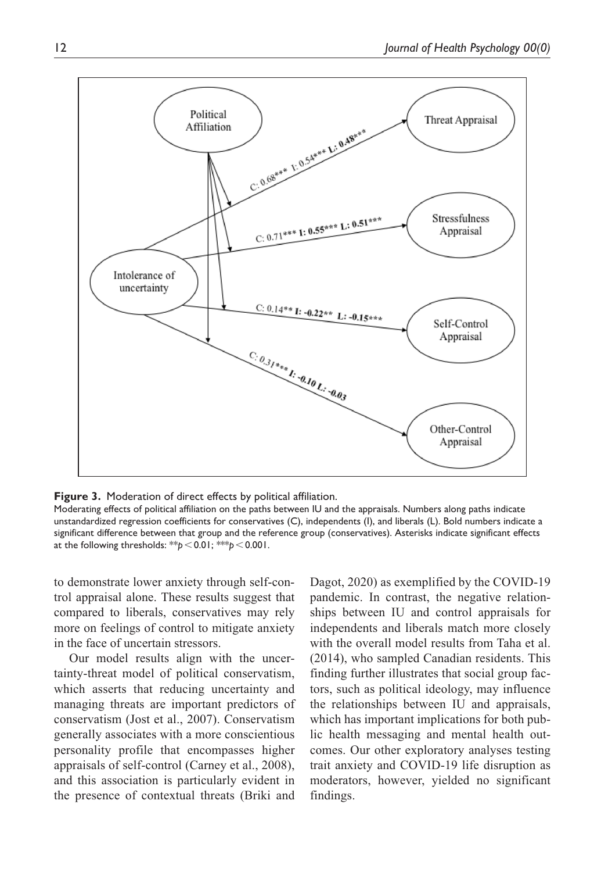

**Figure 3.** Moderation of direct effects by political affiliation.

Moderating effects of political affiliation on the paths between IU and the appraisals. Numbers along paths indicate unstandardized regression coefficients for conservatives (C), independents (I), and liberals (L). Bold numbers indicate a significant difference between that group and the reference group (conservatives). Asterisks indicate significant effects at the following thresholds: \*\**p*<0.01; \*\*\**p*<0.001.

to demonstrate lower anxiety through self-control appraisal alone. These results suggest that compared to liberals, conservatives may rely more on feelings of control to mitigate anxiety in the face of uncertain stressors.

Our model results align with the uncertainty-threat model of political conservatism, which asserts that reducing uncertainty and managing threats are important predictors of conservatism (Jost et al., 2007). Conservatism generally associates with a more conscientious personality profile that encompasses higher appraisals of self-control (Carney et al., 2008), and this association is particularly evident in the presence of contextual threats (Briki and Dagot, 2020) as exemplified by the COVID-19 pandemic. In contrast, the negative relationships between IU and control appraisals for independents and liberals match more closely with the overall model results from Taha et al. (2014), who sampled Canadian residents. This finding further illustrates that social group factors, such as political ideology, may influence the relationships between IU and appraisals, which has important implications for both public health messaging and mental health outcomes. Our other exploratory analyses testing trait anxiety and COVID-19 life disruption as moderators, however, yielded no significant findings.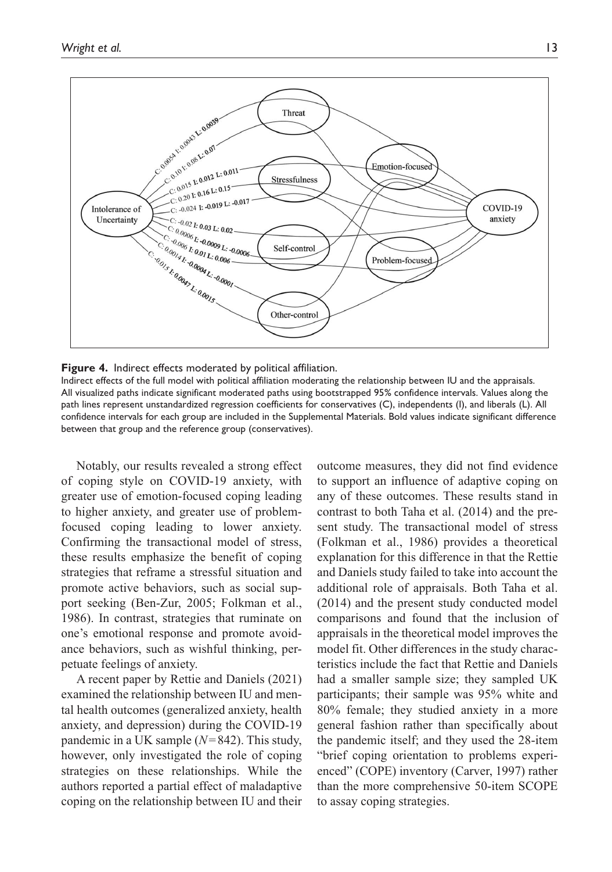

**Figure 4.** Indirect effects moderated by political affiliation.

Indirect effects of the full model with political affiliation moderating the relationship between IU and the appraisals. All visualized paths indicate significant moderated paths using bootstrapped 95% confidence intervals. Values along the path lines represent unstandardized regression coefficients for conservatives (C), independents (I), and liberals (L). All confidence intervals for each group are included in the Supplemental Materials. Bold values indicate significant difference between that group and the reference group (conservatives).

Notably, our results revealed a strong effect of coping style on COVID-19 anxiety, with greater use of emotion-focused coping leading to higher anxiety, and greater use of problemfocused coping leading to lower anxiety. Confirming the transactional model of stress, these results emphasize the benefit of coping strategies that reframe a stressful situation and promote active behaviors, such as social support seeking (Ben-Zur, 2005; Folkman et al., 1986). In contrast, strategies that ruminate on one's emotional response and promote avoidance behaviors, such as wishful thinking, perpetuate feelings of anxiety.

A recent paper by Rettie and Daniels (2021) examined the relationship between IU and mental health outcomes (generalized anxiety, health anxiety, and depression) during the COVID-19 pandemic in a UK sample (*N*=842). This study, however, only investigated the role of coping strategies on these relationships. While the authors reported a partial effect of maladaptive coping on the relationship between IU and their outcome measures, they did not find evidence to support an influence of adaptive coping on any of these outcomes. These results stand in contrast to both Taha et al. (2014) and the present study. The transactional model of stress (Folkman et al., 1986) provides a theoretical explanation for this difference in that the Rettie and Daniels study failed to take into account the additional role of appraisals. Both Taha et al. (2014) and the present study conducted model comparisons and found that the inclusion of appraisals in the theoretical model improves the model fit. Other differences in the study characteristics include the fact that Rettie and Daniels had a smaller sample size; they sampled UK participants; their sample was 95% white and 80% female; they studied anxiety in a more general fashion rather than specifically about the pandemic itself; and they used the 28-item "brief coping orientation to problems experienced" (COPE) inventory (Carver, 1997) rather than the more comprehensive 50-item SCOPE to assay coping strategies.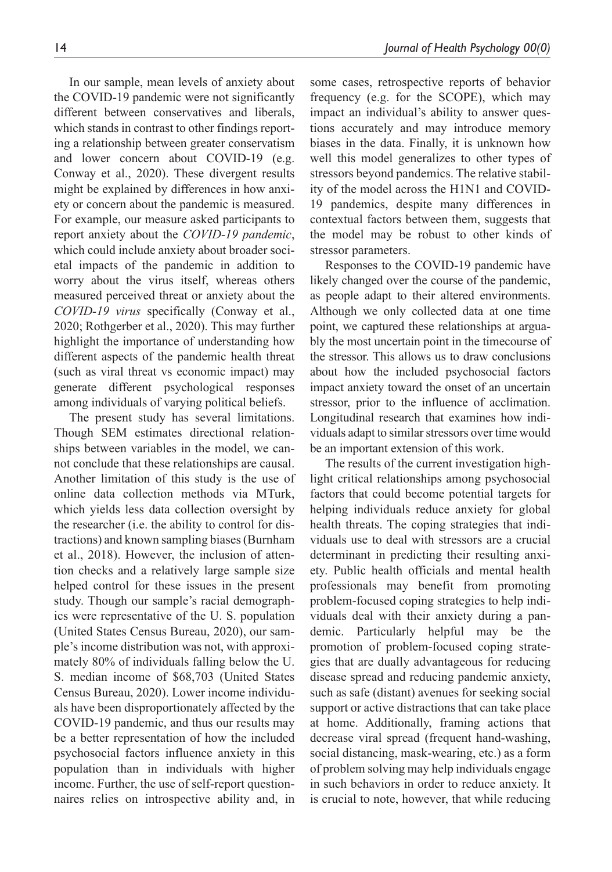In our sample, mean levels of anxiety about the COVID-19 pandemic were not significantly different between conservatives and liberals, which stands in contrast to other findings reporting a relationship between greater conservatism and lower concern about COVID-19 (e.g. Conway et al., 2020). These divergent results might be explained by differences in how anxiety or concern about the pandemic is measured. For example, our measure asked participants to report anxiety about the *COVID-19 pandemic*, which could include anxiety about broader societal impacts of the pandemic in addition to worry about the virus itself, whereas others measured perceived threat or anxiety about the *COVID-19 virus* specifically (Conway et al., 2020; Rothgerber et al., 2020). This may further highlight the importance of understanding how different aspects of the pandemic health threat (such as viral threat vs economic impact) may generate different psychological responses among individuals of varying political beliefs.

The present study has several limitations. Though SEM estimates directional relationships between variables in the model, we cannot conclude that these relationships are causal. Another limitation of this study is the use of online data collection methods via MTurk, which yields less data collection oversight by the researcher (i.e. the ability to control for distractions) and known sampling biases (Burnham et al., 2018). However, the inclusion of attention checks and a relatively large sample size helped control for these issues in the present study. Though our sample's racial demographics were representative of the U. S. population (United States Census Bureau, 2020), our sample's income distribution was not, with approximately 80% of individuals falling below the U. S. median income of \$68,703 (United States Census Bureau, 2020). Lower income individuals have been disproportionately affected by the COVID-19 pandemic, and thus our results may be a better representation of how the included psychosocial factors influence anxiety in this population than in individuals with higher income. Further, the use of self-report questionnaires relies on introspective ability and, in some cases, retrospective reports of behavior frequency (e.g. for the SCOPE), which may impact an individual's ability to answer questions accurately and may introduce memory biases in the data. Finally, it is unknown how well this model generalizes to other types of stressors beyond pandemics. The relative stability of the model across the H1N1 and COVID-19 pandemics, despite many differences in contextual factors between them, suggests that the model may be robust to other kinds of stressor parameters.

Responses to the COVID-19 pandemic have likely changed over the course of the pandemic, as people adapt to their altered environments. Although we only collected data at one time point, we captured these relationships at arguably the most uncertain point in the timecourse of the stressor. This allows us to draw conclusions about how the included psychosocial factors impact anxiety toward the onset of an uncertain stressor, prior to the influence of acclimation. Longitudinal research that examines how individuals adapt to similar stressors over time would be an important extension of this work.

The results of the current investigation highlight critical relationships among psychosocial factors that could become potential targets for helping individuals reduce anxiety for global health threats. The coping strategies that individuals use to deal with stressors are a crucial determinant in predicting their resulting anxiety. Public health officials and mental health professionals may benefit from promoting problem-focused coping strategies to help individuals deal with their anxiety during a pandemic. Particularly helpful may be the promotion of problem-focused coping strategies that are dually advantageous for reducing disease spread and reducing pandemic anxiety, such as safe (distant) avenues for seeking social support or active distractions that can take place at home. Additionally, framing actions that decrease viral spread (frequent hand-washing, social distancing, mask-wearing, etc.) as a form of problem solving may help individuals engage in such behaviors in order to reduce anxiety. It is crucial to note, however, that while reducing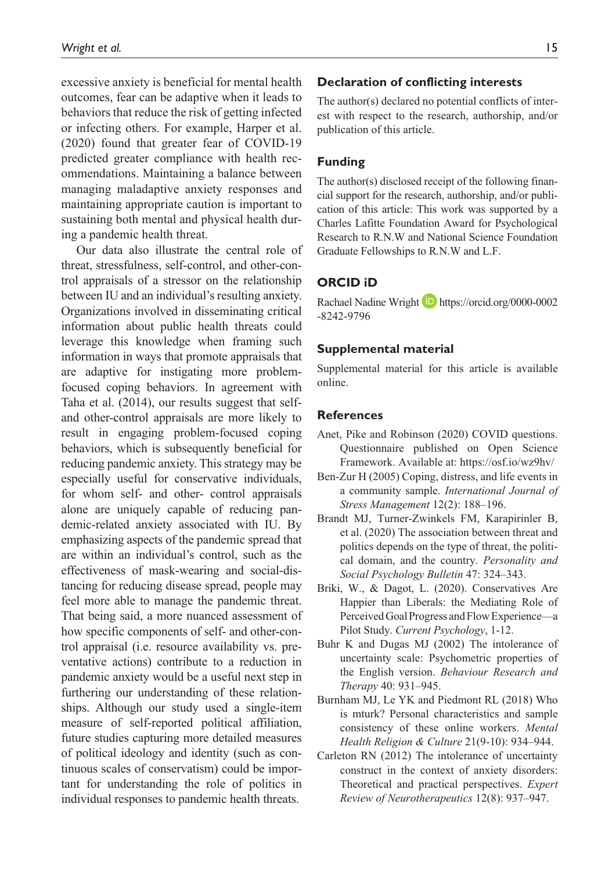excessive anxiety is beneficial for mental health outcomes, fear can be adaptive when it leads to behaviors that reduce the risk of getting infected or infecting others. For example, Harper et al. (2020) found that greater fear of COVID-19 predicted greater compliance with health recommendations. Maintaining a balance between managing maladaptive anxiety responses and maintaining appropriate caution is important to sustaining both mental and physical health during a pandemic health threat.

Our data also illustrate the central role of threat, stressfulness, self-control, and other-control appraisals of a stressor on the relationship between IU and an individual's resulting anxiety. Organizations involved in disseminating critical information about public health threats could leverage this knowledge when framing such information in ways that promote appraisals that are adaptive for instigating more problemfocused coping behaviors. In agreement with Taha et al. (2014), our results suggest that selfand other-control appraisals are more likely to result in engaging problem-focused coping behaviors, which is subsequently beneficial for reducing pandemic anxiety. This strategy may be especially useful for conservative individuals, for whom self- and other- control appraisals alone are uniquely capable of reducing pandemic-related anxiety associated with IU. By emphasizing aspects of the pandemic spread that are within an individual's control, such as the effectiveness of mask-wearing and social-distancing for reducing disease spread, people may feel more able to manage the pandemic threat. That being said, a more nuanced assessment of how specific components of self- and other-control appraisal (i.e. resource availability vs. preventative actions) contribute to a reduction in pandemic anxiety would be a useful next step in furthering our understanding of these relationships. Although our study used a single-item measure of self-reported political affiliation, future studies capturing more detailed measures of political ideology and identity (such as continuous scales of conservatism) could be important for understanding the role of politics in individual responses to pandemic health threats.

### **Declaration of conflicting interests**

The author(s) declared no potential conflicts of interest with respect to the research, authorship, and/or publication of this article.

### **Funding**

The author(s) disclosed receipt of the following financial support for the research, authorship, and/or publication of this article: This work was supported by a Charles Lafitte Foundation Award for Psychological Research to R.N.W and National Science Foundation Graduate Fellowships to R.N.W and L.F.

#### **ORCID iD**

Rachael Nadine Wright **D** [https://orcid.org/0000-0002](https://orcid.org/0000-0002-8242-9796) [-8242-9796](https://orcid.org/0000-0002-8242-9796)

#### **Supplemental material**

Supplemental material for this article is available online.

#### **References**

- Anet, Pike and Robinson (2020) COVID questions. Questionnaire published on Open Science Framework. Available at:<https://osf.io/wz9hv/>
- Ben-Zur H (2005) Coping, distress, and life events in a community sample. *International Journal of Stress Management* 12(2): 188–196.
- Brandt MJ, Turner-Zwinkels FM, Karapirinler B, et al. (2020) The association between threat and politics depends on the type of threat, the political domain, and the country. *Personality and Social Psychology Bulletin* 47: 324–343.
- Briki, W., & Dagot, L. (2020). Conservatives Are Happier than Liberals: the Mediating Role of Perceived Goal Progress and Flow Experience—a Pilot Study. *Current Psychology*, 1-12.
- Buhr K and Dugas MJ (2002) The intolerance of uncertainty scale: Psychometric properties of the English version. *Behaviour Research and Therapy* 40: 931–945.
- Burnham MJ, Le YK and Piedmont RL (2018) Who is mturk? Personal characteristics and sample consistency of these online workers. *Mental Health Religion & Culture* 21(9-10): 934–944.
- Carleton RN (2012) The intolerance of uncertainty construct in the context of anxiety disorders: Theoretical and practical perspectives. *Expert Review of Neurotherapeutics* 12(8): 937–947.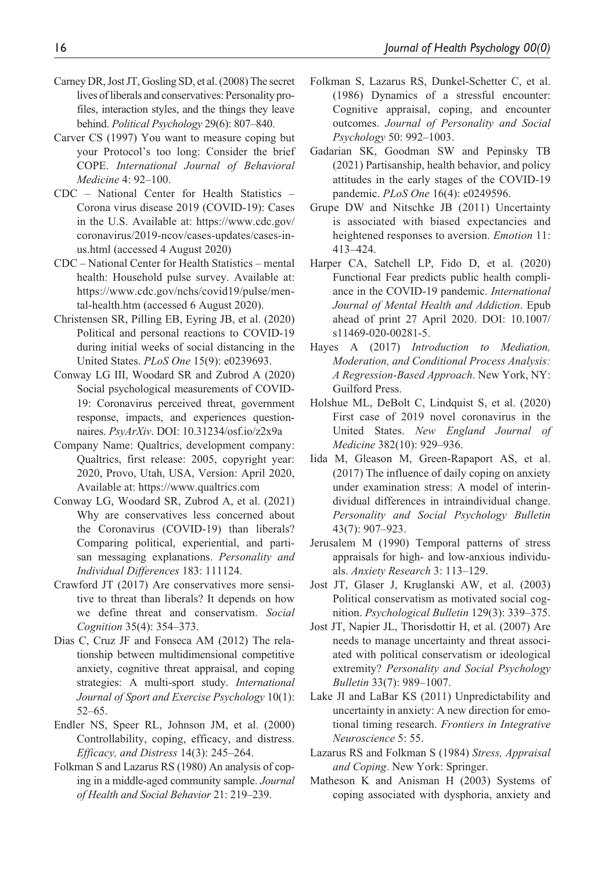- Carney DR, Jost JT, Gosling SD, et al. (2008) The secret lives of liberals and conservatives: Personality profiles, interaction styles, and the things they leave behind. *Political Psychology* 29(6): 807–840.
- Carver CS (1997) You want to measure coping but your Protocol's too long: Consider the brief COPE. *International Journal of Behavioral Medicine* 4: 92–100.
- CDC National Center for Health Statistics Corona virus disease 2019 (COVID-19): Cases in the U.S. Available at: [https://www.cdc.gov/](https://www.cdc.gov/coronavirus/2019-ncov/cases-updates/cases-in-us.html) [coronavirus/2019-ncov/cases-updates/cases-in](https://www.cdc.gov/coronavirus/2019-ncov/cases-updates/cases-in-us.html)[us.html](https://www.cdc.gov/coronavirus/2019-ncov/cases-updates/cases-in-us.html) (accessed 4 August 2020)
- CDC National Center for Health Statistics mental health: Household pulse survey. Available at: [https://www.cdc.gov/nchs/covid19/pulse/men](https://www.cdc.gov/nchs/covid19/pulse/mental-health.htm)[tal-health.htm](https://www.cdc.gov/nchs/covid19/pulse/mental-health.htm) (accessed 6 August 2020).
- Christensen SR, Pilling EB, Eyring JB, et al. (2020) Political and personal reactions to COVID-19 during initial weeks of social distancing in the United States. *PLoS One* 15(9): e0239693.
- Conway LG III, Woodard SR and Zubrod A (2020) Social psychological measurements of COVID-19: Coronavirus perceived threat, government response, impacts, and experiences questionnaires. *PsyArXiv*. DOI: 10.31234/osf.io/z2x9a
- Company Name: Qualtrics, development company: Qualtrics, first release: 2005, copyright year: 2020, Provo, Utah, USA, Version: April 2020, Available at:<https://www.qualtrics.com>
- Conway LG, Woodard SR, Zubrod A, et al. (2021) Why are conservatives less concerned about the Coronavirus (COVID-19) than liberals? Comparing political, experiential, and partisan messaging explanations. *Personality and Individual Differences* 183: 111124.
- Crawford JT (2017) Are conservatives more sensitive to threat than liberals? It depends on how we define threat and conservatism. *Social Cognition* 35(4): 354–373.
- Dias C, Cruz JF and Fonseca AM (2012) The relationship between multidimensional competitive anxiety, cognitive threat appraisal, and coping strategies: A multi-sport study. *International Journal of Sport and Exercise Psychology* 10(1): 52–65.
- Endler NS, Speer RL, Johnson JM, et al. (2000) Controllability, coping, efficacy, and distress. *Efficacy, and Distress* 14(3): 245–264.
- Folkman S and Lazarus RS (1980) An analysis of coping in a middle-aged community sample. *Journal of Health and Social Behavior* 21: 219–239.
- Folkman S, Lazarus RS, Dunkel-Schetter C, et al. (1986) Dynamics of a stressful encounter: Cognitive appraisal, coping, and encounter outcomes. *Journal of Personality and Social Psychology* 50: 992–1003.
- Gadarian SK, Goodman SW and Pepinsky TB (2021) Partisanship, health behavior, and policy attitudes in the early stages of the COVID-19 pandemic. *PLoS One* 16(4): e0249596.
- Grupe DW and Nitschke JB (2011) Uncertainty is associated with biased expectancies and heightened responses to aversion. *Emotion* 11: 413–424.
- Harper CA, Satchell LP, Fido D, et al. (2020) Functional Fear predicts public health compliance in the COVID-19 pandemic. *International Journal of Mental Health and Addiction*. Epub ahead of print 27 April 2020. DOI: 10.1007/ s11469-020-00281-5.
- Hayes A (2017) *Introduction to Mediation, Moderation, and Conditional Process Analysis: A Regression-Based Approach*. New York, NY: Guilford Press.
- Holshue ML, DeBolt C, Lindquist S, et al. (2020) First case of 2019 novel coronavirus in the United States. *New England Journal of Medicine* 382(10): 929–936.
- Iida M, Gleason M, Green-Rapaport AS, et al. (2017) The influence of daily coping on anxiety under examination stress: A model of interindividual differences in intraindividual change. *Personality and Social Psychology Bulletin* 43(7): 907–923.
- Jerusalem M (1990) Temporal patterns of stress appraisals for high- and low-anxious individuals. *Anxiety Research* 3: 113–129.
- Jost JT, Glaser J, Kruglanski AW, et al. (2003) Political conservatism as motivated social cognition. *Psychological Bulletin* 129(3): 339–375.
- Jost JT, Napier JL, Thorisdottir H, et al. (2007) Are needs to manage uncertainty and threat associated with political conservatism or ideological extremity? *Personality and Social Psychology Bulletin* 33(7): 989–1007.
- Lake JI and LaBar KS (2011) Unpredictability and uncertainty in anxiety: A new direction for emotional timing research. *Frontiers in Integrative Neuroscience* 5: 55.
- Lazarus RS and Folkman S (1984) *Stress, Appraisal and Coping*. New York: Springer.
- Matheson K and Anisman H (2003) Systems of coping associated with dysphoria, anxiety and